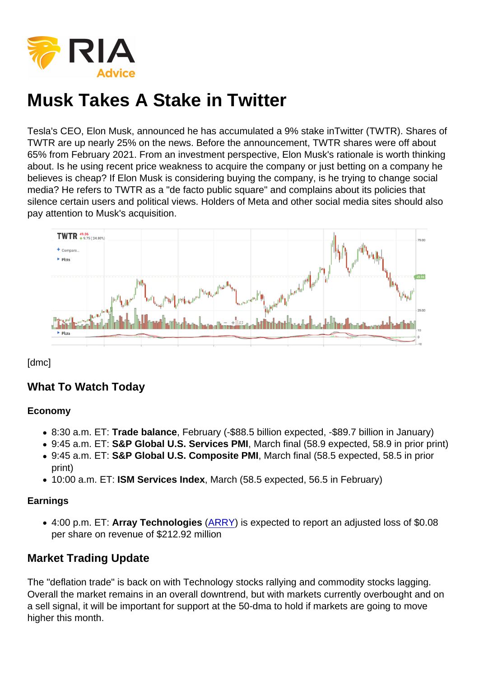Tesla's CEO, Elon Musk, announced he has accumulated a 9% stake inTwitter (TWTR). Shares of TWTR are up nearly 25% on the news. Before the announcement, TWTR shares were off about 65% from February 2021. From an investment perspective, Elon Musk's rationale is worth thinking about. Is he using recent price weakness to acquire the company or just betting on a company he believes is cheap? If Elon Musk is considering buying the company, is he trying to change social media? He refers to TWTR as a "de facto public square" and complains about its policies that silence certain users and political views. Holders of Meta and other social media sites should also pay attention to Musk's acquisition.

# [dmc]

# What To Watch Today

### Economy

- 8:30 a.m. ET: Trade balance , February (-\$88.5 billion expected, -\$89.7 billion in January)
- 9:45 a.m. ET: S&P Global U.S. Services PMI , March final (58.9 expected, 58.9 in prior print)
- 9:45 a.m. ET: S&P Global U.S. Composite PMI , March final (58.5 expected, 58.5 in prior print)
- 10:00 a.m. ET: ISM Services Index , March (58.5 expected, 56.5 in February)

## **Earnings**

4:00 p.m. ET: Array Technologies ([ARRY](https://finance.yahoo.com/quote/ARRY?p=ARRY&.tsrc=fin-srch)) is expected to report an adjusted loss of \$0.08 per share on revenue of \$212.92 million

# Market Trading Update

The "deflation trade" is back on with Technology stocks rallying and commodity stocks lagging. Overall the market remains in an overall downtrend, but with markets currently overbought and on a sell signal, it will be important for support at the 50-dma to hold if markets are going to move higher this month.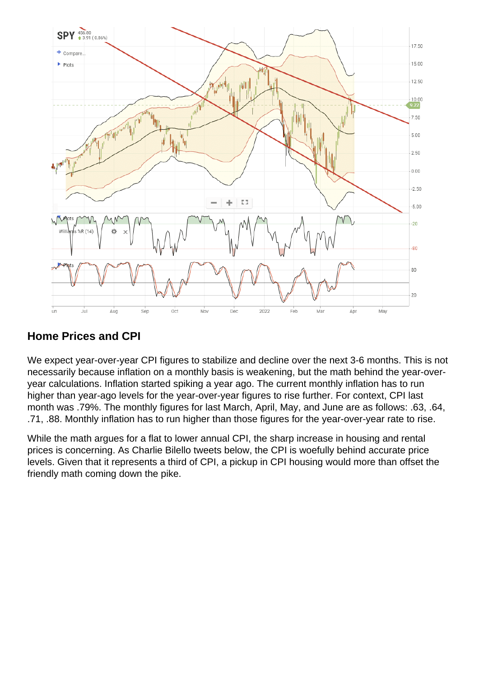Home Prices and CPI

We expect year-over-year CPI figures to stabilize and decline over the next 3-6 months. This is not necessarily because inflation on a monthly basis is weakening, but the math behind the year-overyear calculations. Inflation started spiking a year ago. The current monthly inflation has to run higher than year-ago levels for the year-over-year figures to rise further. For context, CPI last month was .79%. The monthly figures for last March, April, May, and June are as follows: .63, .64, .71, .88. Monthly inflation has to run higher than those figures for the year-over-year rate to rise.

While the math argues for a flat to lower annual CPI, the sharp increase in housing and rental prices is concerning. As Charlie Bilello tweets below, the CPI is woefully behind accurate price levels. Given that it represents a third of CPI, a pickup in CPI housing would more than offset the friendly math coming down the pike.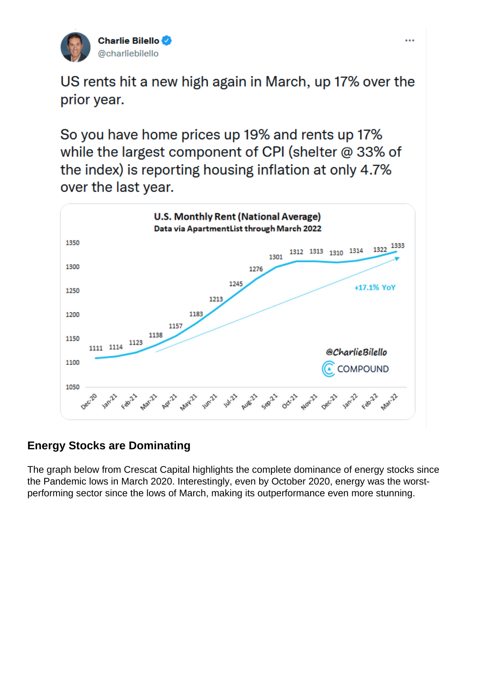Energy Stocks are Dominating

The graph below from Crescat Capital highlights the complete dominance of energy stocks since the Pandemic lows in March 2020. Interestingly, even by October 2020, energy was the worstperforming sector since the lows of March, making its outperformance even more stunning.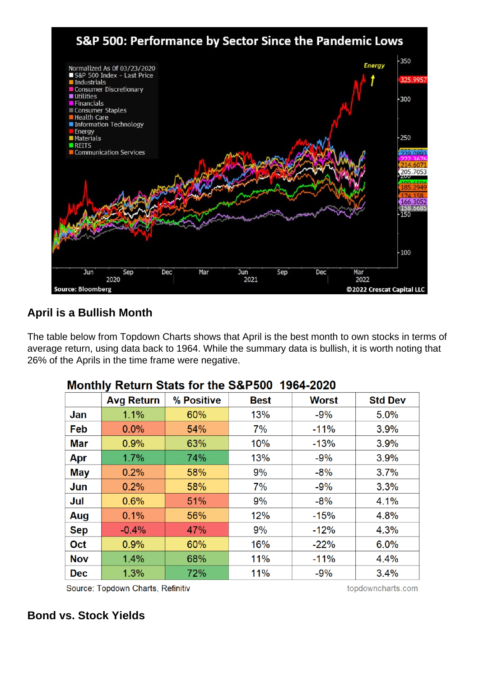April is a Bullish Month

The table below from Topdown Charts shows that April is the best month to own stocks in terms of average return, using data back to 1964. While the summary data is bullish, it is worth noting that 26% of the Aprils in the time frame were negative.

Bond vs. Stock Yields